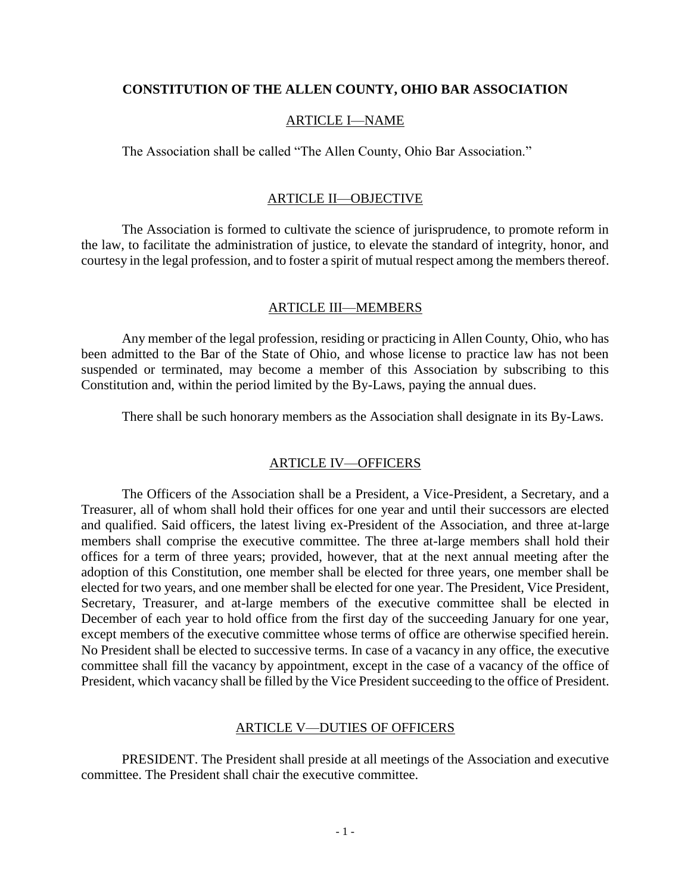### **CONSTITUTION OF THE ALLEN COUNTY, OHIO BAR ASSOCIATION**

### ARTICLE I—NAME

The Association shall be called "The Allen County, Ohio Bar Association."

# ARTICLE II—OBJECTIVE

The Association is formed to cultivate the science of jurisprudence, to promote reform in the law, to facilitate the administration of justice, to elevate the standard of integrity, honor, and courtesy in the legal profession, and to foster a spirit of mutual respect among the members thereof.

### ARTICLE III—MEMBERS

Any member of the legal profession, residing or practicing in Allen County, Ohio, who has been admitted to the Bar of the State of Ohio, and whose license to practice law has not been suspended or terminated, may become a member of this Association by subscribing to this Constitution and, within the period limited by the By-Laws, paying the annual dues.

There shall be such honorary members as the Association shall designate in its By-Laws.

# ARTICLE IV—OFFICERS

The Officers of the Association shall be a President, a Vice-President, a Secretary, and a Treasurer, all of whom shall hold their offices for one year and until their successors are elected and qualified. Said officers, the latest living ex-President of the Association, and three at-large members shall comprise the executive committee. The three at-large members shall hold their offices for a term of three years; provided, however, that at the next annual meeting after the adoption of this Constitution, one member shall be elected for three years, one member shall be elected for two years, and one member shall be elected for one year. The President, Vice President, Secretary, Treasurer, and at-large members of the executive committee shall be elected in December of each year to hold office from the first day of the succeeding January for one year, except members of the executive committee whose terms of office are otherwise specified herein. No President shall be elected to successive terms. In case of a vacancy in any office, the executive committee shall fill the vacancy by appointment, except in the case of a vacancy of the office of President, which vacancy shall be filled by the Vice President succeeding to the office of President.

#### ARTICLE V—DUTIES OF OFFICERS

PRESIDENT. The President shall preside at all meetings of the Association and executive committee. The President shall chair the executive committee.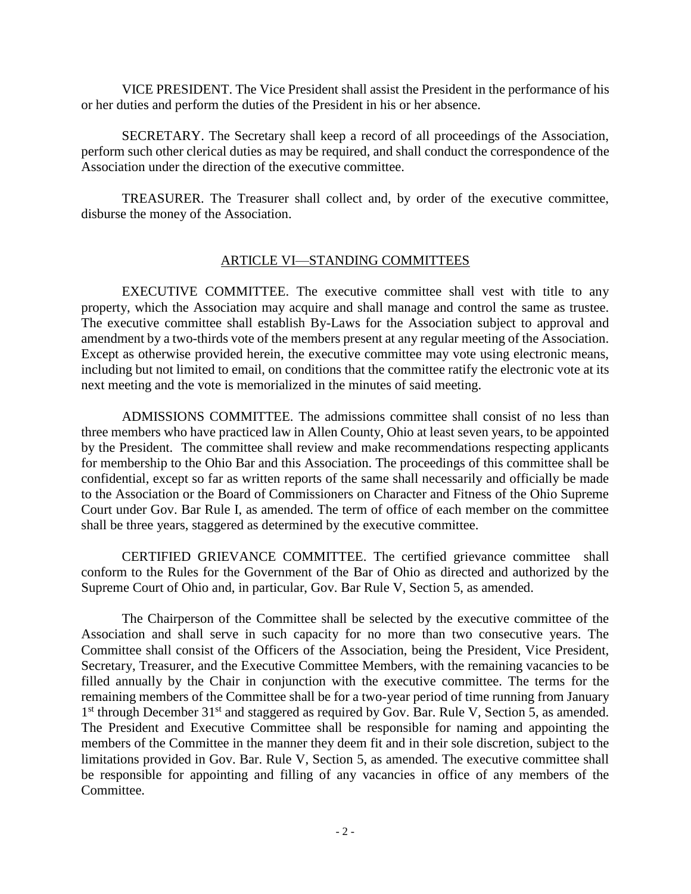VICE PRESIDENT. The Vice President shall assist the President in the performance of his or her duties and perform the duties of the President in his or her absence.

SECRETARY. The Secretary shall keep a record of all proceedings of the Association, perform such other clerical duties as may be required, and shall conduct the correspondence of the Association under the direction of the executive committee.

TREASURER. The Treasurer shall collect and, by order of the executive committee, disburse the money of the Association.

# ARTICLE VI—STANDING COMMITTEES

EXECUTIVE COMMITTEE. The executive committee shall vest with title to any property, which the Association may acquire and shall manage and control the same as trustee. The executive committee shall establish By-Laws for the Association subject to approval and amendment by a two-thirds vote of the members present at any regular meeting of the Association. Except as otherwise provided herein, the executive committee may vote using electronic means, including but not limited to email, on conditions that the committee ratify the electronic vote at its next meeting and the vote is memorialized in the minutes of said meeting.

ADMISSIONS COMMITTEE. The admissions committee shall consist of no less than three members who have practiced law in Allen County, Ohio at least seven years, to be appointed by the President. The committee shall review and make recommendations respecting applicants for membership to the Ohio Bar and this Association. The proceedings of this committee shall be confidential, except so far as written reports of the same shall necessarily and officially be made to the Association or the Board of Commissioners on Character and Fitness of the Ohio Supreme Court under Gov. Bar Rule I, as amended. The term of office of each member on the committee shall be three years, staggered as determined by the executive committee.

CERTIFIED GRIEVANCE COMMITTEE. The certified grievance committee shall conform to the Rules for the Government of the Bar of Ohio as directed and authorized by the Supreme Court of Ohio and, in particular, Gov. Bar Rule V, Section 5, as amended.

The Chairperson of the Committee shall be selected by the executive committee of the Association and shall serve in such capacity for no more than two consecutive years. The Committee shall consist of the Officers of the Association, being the President, Vice President, Secretary, Treasurer, and the Executive Committee Members, with the remaining vacancies to be filled annually by the Chair in conjunction with the executive committee. The terms for the remaining members of the Committee shall be for a two-year period of time running from January 1<sup>st</sup> through December 31<sup>st</sup> and staggered as required by Gov. Bar. Rule V, Section 5, as amended. The President and Executive Committee shall be responsible for naming and appointing the members of the Committee in the manner they deem fit and in their sole discretion, subject to the limitations provided in Gov. Bar. Rule V, Section 5, as amended. The executive committee shall be responsible for appointing and filling of any vacancies in office of any members of the Committee.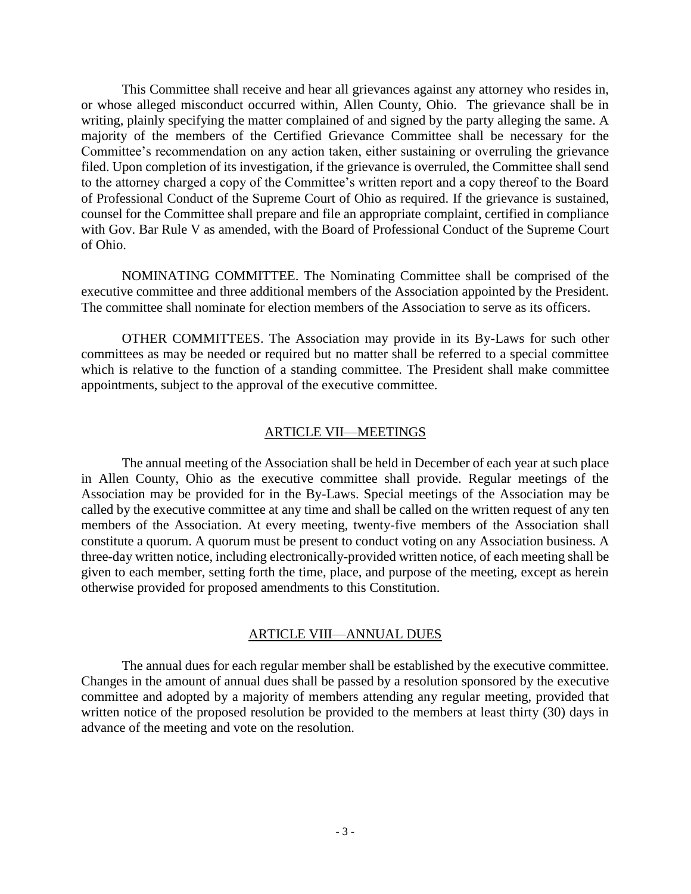This Committee shall receive and hear all grievances against any attorney who resides in, or whose alleged misconduct occurred within, Allen County, Ohio. The grievance shall be in writing, plainly specifying the matter complained of and signed by the party alleging the same. A majority of the members of the Certified Grievance Committee shall be necessary for the Committee's recommendation on any action taken, either sustaining or overruling the grievance filed. Upon completion of its investigation, if the grievance is overruled, the Committee shall send to the attorney charged a copy of the Committee's written report and a copy thereof to the Board of Professional Conduct of the Supreme Court of Ohio as required. If the grievance is sustained, counsel for the Committee shall prepare and file an appropriate complaint, certified in compliance with Gov. Bar Rule V as amended, with the Board of Professional Conduct of the Supreme Court of Ohio.

NOMINATING COMMITTEE. The Nominating Committee shall be comprised of the executive committee and three additional members of the Association appointed by the President. The committee shall nominate for election members of the Association to serve as its officers.

OTHER COMMITTEES. The Association may provide in its By-Laws for such other committees as may be needed or required but no matter shall be referred to a special committee which is relative to the function of a standing committee. The President shall make committee appointments, subject to the approval of the executive committee.

# ARTICLE VII—MEETINGS

The annual meeting of the Association shall be held in December of each year at such place in Allen County, Ohio as the executive committee shall provide. Regular meetings of the Association may be provided for in the By-Laws. Special meetings of the Association may be called by the executive committee at any time and shall be called on the written request of any ten members of the Association. At every meeting, twenty-five members of the Association shall constitute a quorum. A quorum must be present to conduct voting on any Association business. A three-day written notice, including electronically-provided written notice, of each meeting shall be given to each member, setting forth the time, place, and purpose of the meeting, except as herein otherwise provided for proposed amendments to this Constitution.

### ARTICLE VIII—ANNUAL DUES

The annual dues for each regular member shall be established by the executive committee. Changes in the amount of annual dues shall be passed by a resolution sponsored by the executive committee and adopted by a majority of members attending any regular meeting, provided that written notice of the proposed resolution be provided to the members at least thirty (30) days in advance of the meeting and vote on the resolution.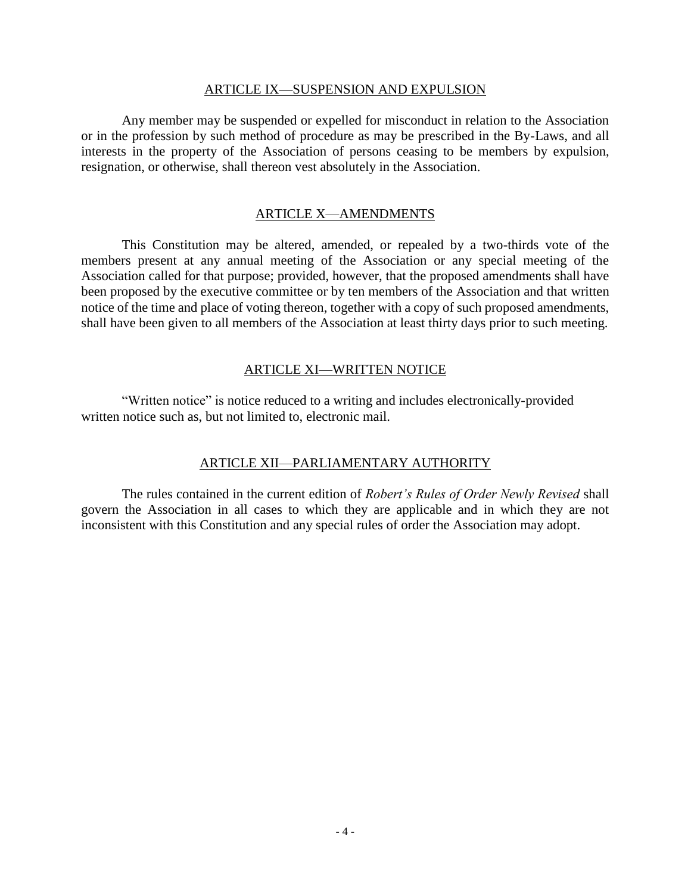#### ARTICLE IX—SUSPENSION AND EXPULSION

Any member may be suspended or expelled for misconduct in relation to the Association or in the profession by such method of procedure as may be prescribed in the By-Laws, and all interests in the property of the Association of persons ceasing to be members by expulsion, resignation, or otherwise, shall thereon vest absolutely in the Association.

# ARTICLE X—AMENDMENTS

This Constitution may be altered, amended, or repealed by a two-thirds vote of the members present at any annual meeting of the Association or any special meeting of the Association called for that purpose; provided, however, that the proposed amendments shall have been proposed by the executive committee or by ten members of the Association and that written notice of the time and place of voting thereon, together with a copy of such proposed amendments, shall have been given to all members of the Association at least thirty days prior to such meeting.

### ARTICLE XI—WRITTEN NOTICE

"Written notice" is notice reduced to a writing and includes electronically-provided written notice such as, but not limited to, electronic mail.

# ARTICLE XII—PARLIAMENTARY AUTHORITY

The rules contained in the current edition of *Robert's Rules of Order Newly Revised* shall govern the Association in all cases to which they are applicable and in which they are not inconsistent with this Constitution and any special rules of order the Association may adopt.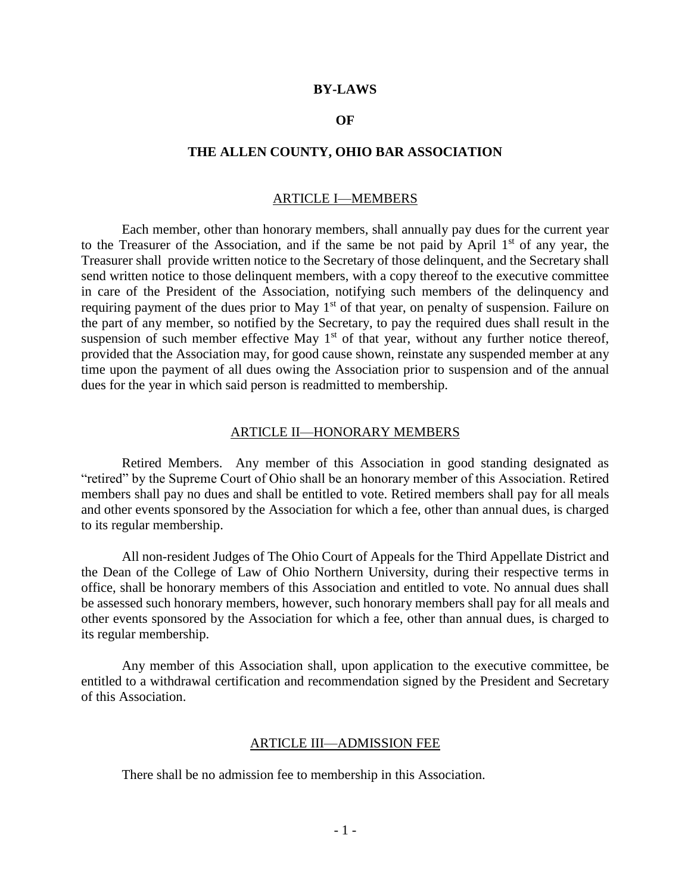#### **BY-LAWS**

### **OF**

#### **THE ALLEN COUNTY, OHIO BAR ASSOCIATION**

### ARTICLE I—MEMBERS

Each member, other than honorary members, shall annually pay dues for the current year to the Treasurer of the Association, and if the same be not paid by April  $1<sup>st</sup>$  of any year, the Treasurer shall provide written notice to the Secretary of those delinquent, and the Secretary shall send written notice to those delinquent members, with a copy thereof to the executive committee in care of the President of the Association, notifying such members of the delinquency and requiring payment of the dues prior to May 1<sup>st</sup> of that year, on penalty of suspension. Failure on the part of any member, so notified by the Secretary, to pay the required dues shall result in the suspension of such member effective May  $1<sup>st</sup>$  of that year, without any further notice thereof, provided that the Association may, for good cause shown, reinstate any suspended member at any time upon the payment of all dues owing the Association prior to suspension and of the annual dues for the year in which said person is readmitted to membership.

#### ARTICLE II—HONORARY MEMBERS

Retired Members. Any member of this Association in good standing designated as "retired" by the Supreme Court of Ohio shall be an honorary member of this Association. Retired members shall pay no dues and shall be entitled to vote. Retired members shall pay for all meals and other events sponsored by the Association for which a fee, other than annual dues, is charged to its regular membership.

All non-resident Judges of The Ohio Court of Appeals for the Third Appellate District and the Dean of the College of Law of Ohio Northern University, during their respective terms in office, shall be honorary members of this Association and entitled to vote. No annual dues shall be assessed such honorary members, however, such honorary members shall pay for all meals and other events sponsored by the Association for which a fee, other than annual dues, is charged to its regular membership.

Any member of this Association shall, upon application to the executive committee, be entitled to a withdrawal certification and recommendation signed by the President and Secretary of this Association.

#### ARTICLE III—ADMISSION FEE

There shall be no admission fee to membership in this Association.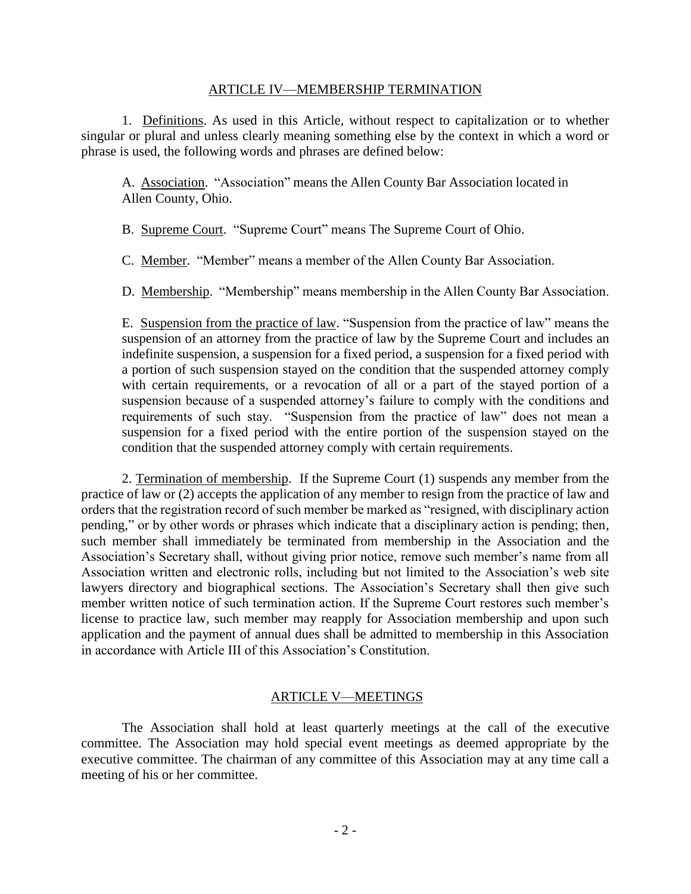### ARTICLE IV—MEMBERSHIP TERMINATION

1.Definitions. As used in this Article, without respect to capitalization or to whether singular or plural and unless clearly meaning something else by the context in which a word or phrase is used, the following words and phrases are defined below:

A. Association."Association" means the Allen County Bar Association located in Allen County, Ohio.

B. Supreme Court. "Supreme Court" means The Supreme Court of Ohio.

C. Member."Member" means a member of the Allen County Bar Association.

D. Membership. "Membership" means membership in the Allen County Bar Association.

E. Suspension from the practice of law. "Suspension from the practice of law" means the suspension of an attorney from the practice of law by the Supreme Court and includes an indefinite suspension, a suspension for a fixed period, a suspension for a fixed period with a portion of such suspension stayed on the condition that the suspended attorney comply with certain requirements, or a revocation of all or a part of the stayed portion of a suspension because of a suspended attorney's failure to comply with the conditions and requirements of such stay. "Suspension from the practice of law" does not mean a suspension for a fixed period with the entire portion of the suspension stayed on the condition that the suspended attorney comply with certain requirements.

2. Termination of membership. If the Supreme Court (1) suspends any member from the practice of law or (2) accepts the application of any member to resign from the practice of law and orders that the registration record of such member be marked as "resigned, with disciplinary action pending," or by other words or phrases which indicate that a disciplinary action is pending; then, such member shall immediately be terminated from membership in the Association and the Association's Secretary shall, without giving prior notice, remove such member's name from all Association written and electronic rolls, including but not limited to the Association's web site lawyers directory and biographical sections. The Association's Secretary shall then give such member written notice of such termination action. If the Supreme Court restores such member's license to practice law, such member may reapply for Association membership and upon such application and the payment of annual dues shall be admitted to membership in this Association in accordance with Article III of this Association's Constitution.

### ARTICLE V—MEETINGS

The Association shall hold at least quarterly meetings at the call of the executive committee. The Association may hold special event meetings as deemed appropriate by the executive committee. The chairman of any committee of this Association may at any time call a meeting of his or her committee.